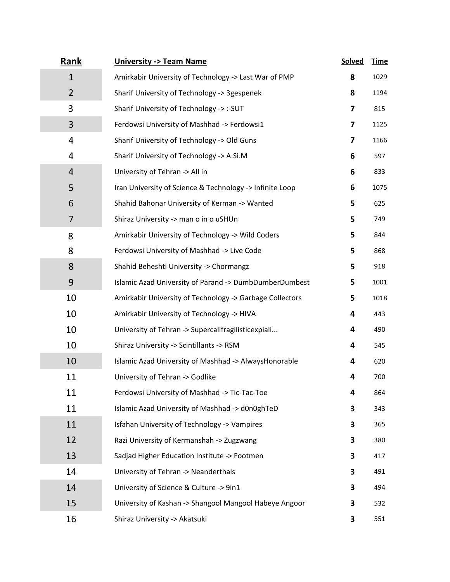| <b>Rank</b>    | <b>University -&gt; Team Name</b>                        | <b>Solved</b> | <b>Time</b> |
|----------------|----------------------------------------------------------|---------------|-------------|
| $\mathbf{1}$   | Amirkabir University of Technology -> Last War of PMP    | 8             | 1029        |
| $\overline{2}$ | Sharif University of Technology -> 3gespenek             | 8             | 1194        |
| 3              | Sharif University of Technology -> :- SUT                | 7             | 815         |
| 3              | Ferdowsi University of Mashhad -> Ferdowsi1              | 7             | 1125        |
| $\overline{4}$ | Sharif University of Technology -> Old Guns              | 7             | 1166        |
| 4              | Sharif University of Technology -> A.Si.M                | 6             | 597         |
| $\overline{4}$ | University of Tehran -> All in                           | 6             | 833         |
| 5              | Iran University of Science & Technology -> Infinite Loop | 6             | 1075        |
| 6              | Shahid Bahonar University of Kerman -> Wanted            | 5             | 625         |
| 7              | Shiraz University -> man o in o uSHUn                    | 5             | 749         |
| 8              | Amirkabir University of Technology -> Wild Coders        | 5             | 844         |
| 8              | Ferdowsi University of Mashhad -> Live Code              | 5             | 868         |
| 8              | Shahid Beheshti University -> Chormangz                  | 5             | 918         |
| 9              | Islamic Azad University of Parand -> DumbDumberDumbest   | 5             | 1001        |
| 10             | Amirkabir University of Technology -> Garbage Collectors | 5             | 1018        |
| 10             | Amirkabir University of Technology -> HIVA               | 4             | 443         |
| 10             | University of Tehran -> Supercalifragilisticexpiali      | 4             | 490         |
| 10             | Shiraz University -> Scintillants -> RSM                 | 4             | 545         |
| 10             | Islamic Azad University of Mashhad -> AlwaysHonorable    | 4             | 620         |
| 11             | University of Tehran -> Godlike                          | 4             | 700         |
| 11             | Ferdowsi University of Mashhad -> Tic-Tac-Toe            | 4             | 864         |
| 11             | Islamic Azad University of Mashhad -> d0n0ghTeD          | 3             | 343         |
| 11             | <b>Isfahan University of Technology -&gt; Vampires</b>   | 3             | 365         |
| 12             | Razi University of Kermanshah -> Zugzwang                | 3             | 380         |
| 13             | Sadjad Higher Education Institute -> Footmen             | 3             | 417         |
| 14             | University of Tehran -> Neanderthals                     | 3             | 491         |
| 14             | University of Science & Culture -> 9in1                  | 3             | 494         |
| 15             | University of Kashan -> Shangool Mangool Habeye Angoor   | 3             | 532         |
| 16             | Shiraz University -> Akatsuki                            | 3             | 551         |